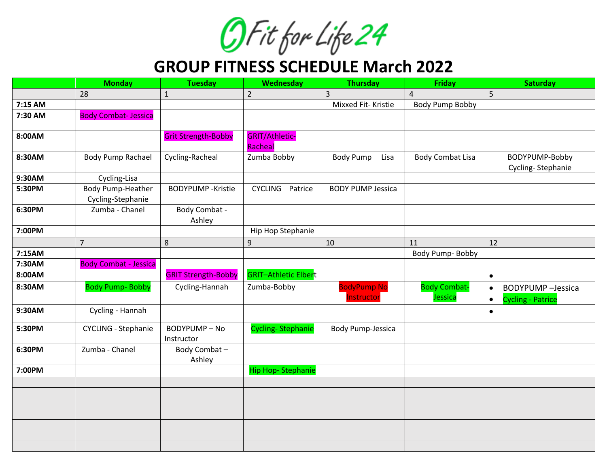OF it for Life 24

**GROUP FITNESS SCHEDULE March 2022**

|         | <b>Monday</b>                          | <b>Tuesday</b>                   | Wednesday                        | <b>Thursday</b>                  | <b>Friday</b>                  | <b>Saturday</b>                                                                 |
|---------|----------------------------------------|----------------------------------|----------------------------------|----------------------------------|--------------------------------|---------------------------------------------------------------------------------|
|         | 28                                     | $\mathbf{1}$                     | $\overline{2}$                   | 3                                | $\overline{4}$                 | 5                                                                               |
| 7:15 AM |                                        |                                  |                                  | Mixxed Fit-Kristie               | <b>Body Pump Bobby</b>         |                                                                                 |
| 7:30 AM | <b>Body Combat-Jessica</b>             |                                  |                                  |                                  |                                |                                                                                 |
| 8:00AM  |                                        | <b>Grit Strength-Bobby</b>       | <b>GRIT/Athletic-</b><br>Racheal |                                  |                                |                                                                                 |
| 8:30AM  | <b>Body Pump Rachael</b>               | Cycling-Racheal                  | Zumba Bobby                      | <b>Body Pump</b><br>Lisa         | <b>Body Combat Lisa</b>        | BODYPUMP-Bobby<br>Cycling-Stephanie                                             |
| 9:30AM  | Cycling-Lisa                           |                                  |                                  |                                  |                                |                                                                                 |
| 5:30PM  | Body Pump-Heather<br>Cycling-Stephanie | <b>BODYPUMP</b> - Kristie        | CYCLING Patrice                  | <b>BODY PUMP Jessica</b>         |                                |                                                                                 |
| 6:30PM  | Zumba - Chanel                         | Body Combat -<br>Ashley          |                                  |                                  |                                |                                                                                 |
| 7:00PM  |                                        |                                  | Hip Hop Stephanie                |                                  |                                |                                                                                 |
|         | $\overline{7}$                         | 8                                | $\boldsymbol{9}$                 | 10                               | 11                             | 12                                                                              |
| 7:15AM  |                                        |                                  |                                  |                                  | Body Pump- Bobby               |                                                                                 |
| 7:30AM  | <b>Body Combat - Jessica</b>           |                                  |                                  |                                  |                                |                                                                                 |
| 8:00AM  |                                        | <b>GRIT Strength-Bobby</b>       | <b>GRIT-Athletic Elbert</b>      |                                  |                                | $\bullet$                                                                       |
| 8:30AM  | <b>Body Pump- Bobby</b>                | Cycling-Hannah                   | Zumba-Bobby                      | <b>BodyPump No</b><br>Instructor | <b>Body Combat-</b><br>Jessica | <b>BODYPUMP</b> - Jessica<br>$\bullet$<br><b>Cycling - Patrice</b><br>$\bullet$ |
| 9:30AM  | Cycling - Hannah                       |                                  |                                  |                                  |                                | $\bullet$                                                                       |
| 5:30PM  | <b>CYCLING - Stephanie</b>             | <b>BODYPUMP-No</b><br>Instructor | <b>Cycling-Stephanie</b>         | <b>Body Pump-Jessica</b>         |                                |                                                                                 |
| 6:30PM  | Zumba - Chanel                         | Body Combat-<br>Ashley           |                                  |                                  |                                |                                                                                 |
| 7:00PM  |                                        |                                  | <b>Hip Hop-Stephanie</b>         |                                  |                                |                                                                                 |
|         |                                        |                                  |                                  |                                  |                                |                                                                                 |
|         |                                        |                                  |                                  |                                  |                                |                                                                                 |
|         |                                        |                                  |                                  |                                  |                                |                                                                                 |
|         |                                        |                                  |                                  |                                  |                                |                                                                                 |
|         |                                        |                                  |                                  |                                  |                                |                                                                                 |
|         |                                        |                                  |                                  |                                  |                                |                                                                                 |
|         |                                        |                                  |                                  |                                  |                                |                                                                                 |